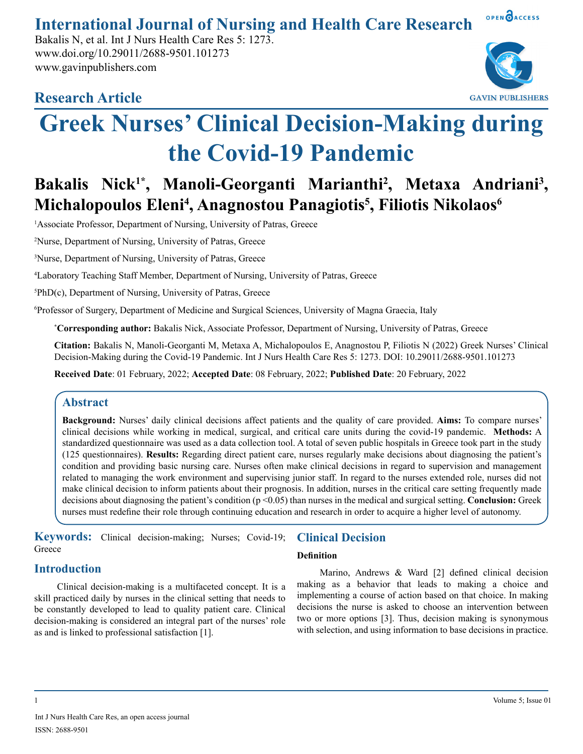**International Journal of Nursing and Health Care Research**

Bakalis N, et al. Int J Nurs Health Care Res 5: 1273. www.doi.org/10.29011/2688-9501.101273 www.gavinpublishers.com





OPEN OACCESS

# **Greek Nurses' Clinical Decision-Making during the Covid-19 Pandemic**

# Bakalis Nick<sup>1\*</sup>, Manoli-Georganti Marianthi<sup>2</sup>, Metaxa Andriani<sup>3</sup>, **Michalopoulos Eleni4 , Anagnostou Panagiotis5 , Filiotis Nikolaos6**

<sup>1</sup>Associate Professor, Department of Nursing, University of Patras, Greece

2 Nurse, Department of Nursing, University of Patras, Greece

3 Nurse, Department of Nursing, University of Patras, Greece

4 Laboratory Teaching Staff Member, Department of Nursing, University of Patras, Greece

5 PhD(c), Department of Nursing, University of Patras, Greece

6 Professor of Surgery, Department of Medicine and Surgical Sciences, University of Magna Graecia, Italy

**\* Corresponding author:** Bakalis Nick, Associate Professor, Department of Nursing, University of Patras, Greece

**Citation:** Bakalis N, Manoli-Georganti M, Metaxa A, Michalopoulos E, Anagnostou P, Filiotis N (2022) Greek Nurses' Clinical Decision-Making during the Covid-19 Pandemic. Int J Nurs Health Care Res 5: 1273. DOI: 10.29011/2688-9501.101273

**Received Date**: 01 February, 2022; **Accepted Date**: 08 February, 2022; **Published Date**: 20 February, 2022

## **Abstract**

**Background:** Nurses' daily clinical decisions affect patients and the quality of care provided. **Aims:** To compare nurses' clinical decisions while working in medical, surgical, and critical care units during the covid-19 pandemic. **Methods:** A standardized questionnaire was used as a data collection tool. A total of seven public hospitals in Greece took part in the study (125 questionnaires). **Results:** Regarding direct patient care, nurses regularly make decisions about diagnosing the patient's condition and providing basic nursing care. Nurses often make clinical decisions in regard to supervision and management related to managing the work environment and supervising junior staff. In regard to the nurses extended role, nurses did not make clinical decision to inform patients about their prognosis. In addition, nurses in the critical care setting frequently made decisions about diagnosing the patient's condition (p <0.05) than nurses in the medical and surgical setting. **Conclusion:** Greek nurses must redefine their role through continuing education and research in order to acquire a higher level of autonomy.

**Keywords:** Clinical decision-making; Nurses; Covid-19; **Greece** 

# **Introduction**

Clinical decision-making is a multifaceted concept. It is a skill practiced daily by nurses in the clinical setting that needs to be constantly developed to lead to quality patient care. Clinical decision-making is considered an integral part of the nurses' role as and is linked to professional satisfaction [1].

# **Clinical Decision**

#### **Definition**

Marino, Andrews & Ward [2] defined clinical decision making as a behavior that leads to making a choice and implementing a course of action based on that choice. In making decisions the nurse is asked to choose an intervention between two or more options [3]. Thus, decision making is synonymous with selection, and using information to base decisions in practice.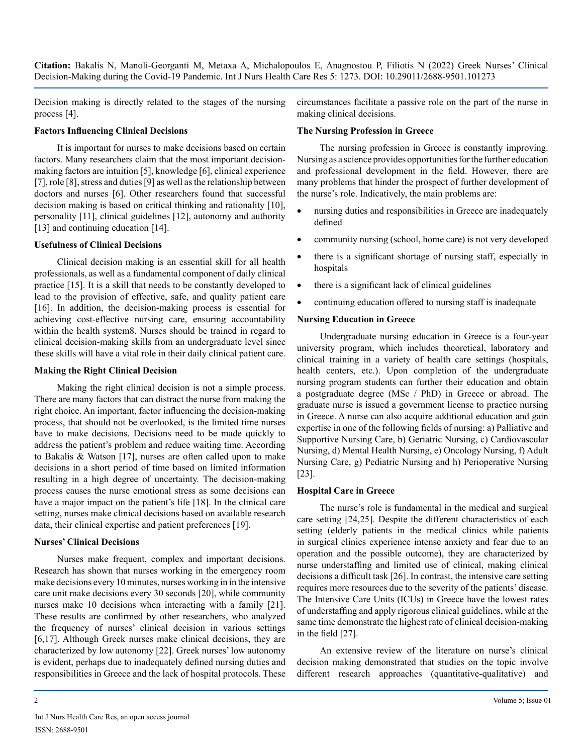Decision making is directly related to the stages of the nursing process [4].

#### **Factors Influencing Clinical Decisions**

It is important for nurses to make decisions based on certain factors. Many researchers claim that the most important decisionmaking factors are intuition [5], knowledge [6], clinical experience [7], role [8], stress and duties [9] as well as the relationship between doctors and nurses [6]. Other researchers found that successful decision making is based on critical thinking and rationality [10], personality [11], clinical guidelines [12], autonomy and authority [13] and continuing education [14].

#### **Usefulness of Clinical Decisions**

Clinical decision making is an essential skill for all health professionals, as well as a fundamental component of daily clinical practice [15]. It is a skill that needs to be constantly developed to lead to the provision of effective, safe, and quality patient care [16]. In addition, the decision-making process is essential for achieving cost-effective nursing care, ensuring accountability within the health system8. Nurses should be trained in regard to clinical decision-making skills from an undergraduate level since these skills will have a vital role in their daily clinical patient care.

#### **Making the Right Clinical Decision**

Making the right clinical decision is not a simple process. There are many factors that can distract the nurse from making the right choice. An important, factor influencing the decision-making process, that should not be overlooked, is the limited time nurses have to make decisions. Decisions need to be made quickly to address the patient's problem and reduce waiting time. According to Bakalis & Watson [17], nurses are often called upon to make decisions in a short period of time based on limited information resulting in a high degree of uncertainty. The decision-making process causes the nurse emotional stress as some decisions can have a major impact on the patient's life [18]. In the clinical care setting, nurses make clinical decisions based on available research data, their clinical expertise and patient preferences [19].

#### **Nurses' Clinical Decisions**

Nurses make frequent, complex and important decisions. Research has shown that nurses working in the emergency room make decisions every 10 minutes, nurses working in in the intensive care unit make decisions every 30 seconds [20], while community nurses make 10 decisions when interacting with a family [21]. These results are confirmed by other researchers, who analyzed the frequency of nurses' clinical decision in various settings [6,17]. Although Greek nurses make clinical decisions, they are characterized by low autonomy [22]. Greek nurses' low autonomy is evident, perhaps due to inadequately defined nursing duties and responsibilities in Greece and the lack of hospital protocols. These

circumstances facilitate a passive role on the part of the nurse in making clinical decisions.

#### **The Nursing Profession in Greece**

The nursing profession in Greece is constantly improving. Nursing as a science provides opportunities for the further education and professional development in the field. However, there are many problems that hinder the prospect of further development of the nurse's role. Indicatively, the main problems are:

- nursing duties and responsibilities in Greece are inadequately defined
- community nursing (school, home care) is not very developed
- there is a significant shortage of nursing staff, especially in hospitals
- there is a significant lack of clinical guidelines
- continuing education offered to nursing staff is inadequate

#### **Nursing Education in Greece**

Undergraduate nursing education in Greece is a four-year university program, which includes theoretical, laboratory and clinical training in a variety of health care settings (hospitals, health centers, etc.). Upon completion of the undergraduate nursing program students can further their education and obtain a postgraduate degree (MSc / PhD) in Greece or abroad. The graduate nurse is issued a government license to practice nursing in Greece. A nurse can also acquire additional education and gain expertise in one of the following fields of nursing: a) Palliative and Supportive Nursing Care, b) Geriatric Nursing, c) Cardiovascular Nursing, d) Mental Health Nursing, e) Oncology Nursing, f) Adult Nursing Care, g) Pediatric Nursing and h) Perioperative Nursing [23].

#### **Hospital Care in Greece**

The nurse's role is fundamental in the medical and surgical care setting [24,25]. Despite the different characteristics of each setting (elderly patients in the medical clinics while patients in surgical clinics experience intense anxiety and fear due to an operation and the possible outcome), they are characterized by nurse understaffing and limited use of clinical, making clinical decisions a difficult task [26]. In contrast, the intensive care setting requires more resources due to the severity of the patients' disease. The Intensive Care Units (ICUs) in Greece have the lowest rates of understaffing and apply rigorous clinical guidelines, while at the same time demonstrate the highest rate of clinical decision-making in the field [27].

An extensive review of the literature on nurse's clinical decision making demonstrated that studies on the topic involve different research approaches (quantitative-qualitative) and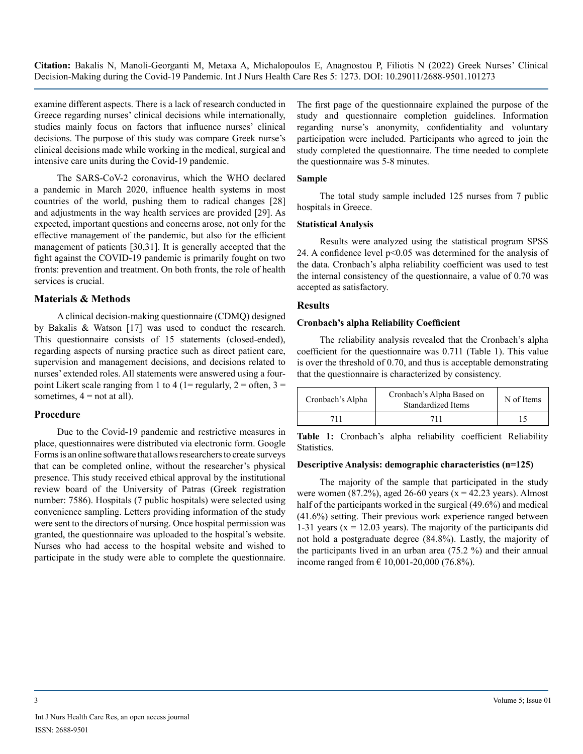examine different aspects. There is a lack of research conducted in Greece regarding nurses' clinical decisions while internationally, studies mainly focus on factors that influence nurses' clinical decisions. The purpose of this study was compare Greek nurse's clinical decisions made while working in the medical, surgical and intensive care units during the Covid-19 pandemic.

The SARS-CoV-2 coronavirus, which the WHO declared a pandemic in March 2020, influence health systems in most countries of the world, pushing them to radical changes [28] and adjustments in the way health services are provided [29]. As expected, important questions and concerns arose, not only for the effective management of the pandemic, but also for the efficient management of patients [30,31]. It is generally accepted that the fight against the COVID-19 pandemic is primarily fought on two fronts: prevention and treatment. On both fronts, the role of health services is crucial.

#### **Materials & Methods**

A clinical decision-making questionnaire (CDMQ) designed by Bakalis & Watson [17] was used to conduct the research. This questionnaire consists of 15 statements (closed-ended), regarding aspects of nursing practice such as direct patient care, supervision and management decisions, and decisions related to nurses' extended roles. All statements were answered using a fourpoint Likert scale ranging from 1 to 4 (1= regularly,  $2 =$  often,  $3 =$ sometimes,  $4 = not at all$ .

#### **Procedure**

Due to the Covid-19 pandemic and restrictive measures in place, questionnaires were distributed via electronic form. Google Forms is an online software that allows researchers to create surveys that can be completed online, without the researcher's physical presence. This study received ethical approval by the institutional review board of the University of Patras (Greek registration number: 7586). Hospitals (7 public hospitals) were selected using convenience sampling. Letters providing information of the study were sent to the directors of nursing. Once hospital permission was granted, the questionnaire was uploaded to the hospital's website. Nurses who had access to the hospital website and wished to participate in the study were able to complete the questionnaire. The first page of the questionnaire explained the purpose of the study and questionnaire completion guidelines. Information regarding nurse's anonymity, confidentiality and voluntary participation were included. Participants who agreed to join the study completed the questionnaire. The time needed to complete the questionnaire was 5-8 minutes.

#### **Sample**

The total study sample included 125 nurses from 7 public hospitals in Greece.

#### **Statistical Analysis**

Results were analyzed using the statistical program SPSS 24. A confidence level p<0.05 was determined for the analysis of the data. Cronbach's alpha reliability coefficient was used to test the internal consistency of the questionnaire, a value of 0.70 was accepted as satisfactory.

#### **Results**

#### **Cronbach's alpha Reliability Coefficient**

The reliability analysis revealed that the Cronbach's alpha coefficient for the questionnaire was 0.711 (Table 1). This value is over the threshold of 0.70, and thus is acceptable demonstrating that the questionnaire is characterized by consistency.

| Cronbach's Alpha | Cronbach's Alpha Based on<br>Standardized Items | N of Items |  |  |
|------------------|-------------------------------------------------|------------|--|--|
| <b>71.</b>       | 711                                             |            |  |  |

**Table 1:** Cronbach's alpha reliability coefficient Reliability Statistics.

#### **Descriptive Analysis: demographic characteristics (n=125)**

The majority of the sample that participated in the study were women  $(87.2\%)$ , aged 26-60 years  $(x = 42.23 \text{ years})$ . Almost half of the participants worked in the surgical (49.6%) and medical (41.6%) setting. Their previous work experience ranged between 1-31 years ( $x = 12.03$  years). The majority of the participants did not hold a postgraduate degree (84.8%). Lastly, the majority of the participants lived in an urban area (75.2 %) and their annual income ranged from  $\in 10,001-20,000$  (76.8%).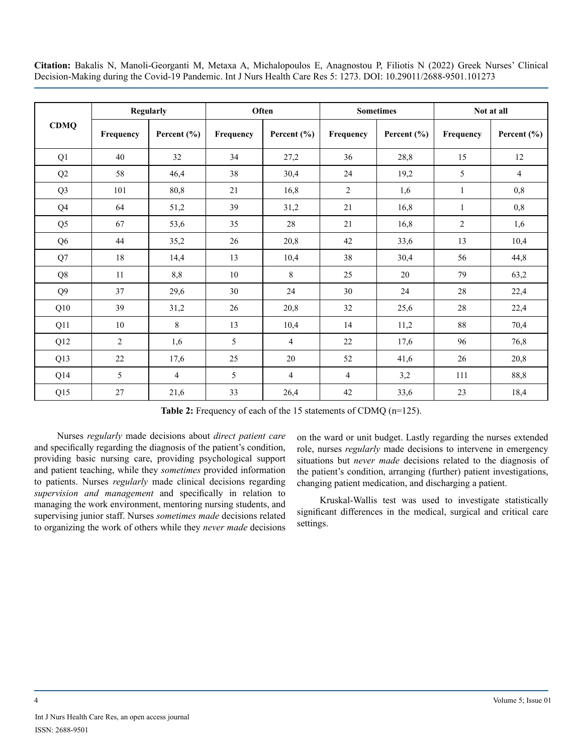| <b>CDMQ</b>    |                | Regularly       |           | Often       |                | <b>Sometimes</b> | Not at all   |                 |  |
|----------------|----------------|-----------------|-----------|-------------|----------------|------------------|--------------|-----------------|--|
|                | Frequency      | Percent $(\% )$ | Frequency | Percent (%) | Frequency      | Percent $(\% )$  | Frequency    | Percent $(\% )$ |  |
| Q1             | 40             | 32              | 34        | 27,2        | 36             | 28,8             | 15           | 12              |  |
| Q2             | 58             | 46,4            | 38        | 30,4        | 24             | 19,2             | 5            | $\overline{4}$  |  |
| Q <sub>3</sub> | 101            | 80,8            | 21        | 16,8        | $\overline{2}$ | 1,6              | $\mathbf{1}$ | 0,8             |  |
| Q4             | 64             | 51,2            | 39        | 31,2        | 21             | 16,8             | $\mathbf{1}$ | 0,8             |  |
| Q <sub>5</sub> | 67             | 53,6            | 35        | 28          | 21             | 16,8             | $\mathbf{2}$ | 1,6             |  |
| Q <sub>6</sub> | 44             | 35,2            | 26        | 20,8        | 42             | 33,6             | 13           | 10,4            |  |
| Q7             | 18             | 14,4            | 13        | 10,4        | 38             | 30,4             | 56           | 44,8            |  |
| Q8             | 11             | 8,8             | 10        | 8           | 25             | 20               | 79           | 63,2            |  |
| Q <sub>9</sub> | 37             | 29,6            | 30        | 24          | 30             | 24               | 28           | 22,4            |  |
| Q10            | 39             | 31,2            | 26        | 20,8        | 32             | 25,6             | 28           | 22,4            |  |
| Q11            | 10             | 8               | 13        | 10,4        | 14             | 11,2             | 88           | 70,4            |  |
| Q12            | $\overline{c}$ | 1,6             | 5         | 4           | $22\,$         | 17,6             | 96           | 76,8            |  |
| Q13            | 22             | 17,6            | 25        | 20          | 52             | 41,6             | 26           | 20,8            |  |
| Q14            | 5              | $\overline{4}$  | 5         | 4           | $\overline{4}$ | 3,2              | 111          | 88,8            |  |
| Q15            | 27             | 21,6            | 33        | 26,4        | 42             | 33,6             | 23           | 18,4            |  |

**Table 2:** Frequency of each of the 15 statements of CDMQ (n=125).

Nurses *regularly* made decisions about *direct patient care* and specifically regarding the diagnosis of the patient's condition, providing basic nursing care, providing psychological support and patient teaching, while they *sometimes* provided information to patients. Nurses *regularly* made clinical decisions regarding *supervision and management* and specifically in relation to managing the work environment, mentoring nursing students, and supervising junior staff. Nurses *sometimes made* decisions related to organizing the work of others while they *never made* decisions on the ward or unit budget. Lastly regarding the nurses extended role, nurses *regularly* made decisions to intervene in emergency situations but *never made* decisions related to the diagnosis of the patient's condition, arranging (further) patient investigations, changing patient medication, and discharging a patient.

Kruskal-Wallis test was used to investigate statistically significant differences in the medical, surgical and critical care settings.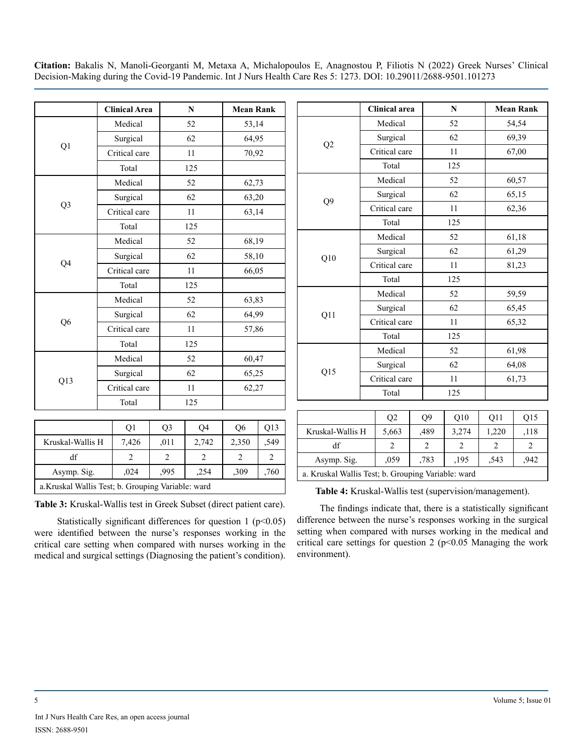| Medical<br>Surgical<br>Critical care<br>Total<br>Medical<br>Surgical<br>Critical care |                | 52<br>62<br>11<br>125  | 53,14<br>64,95<br>70,92 |                               |  |
|---------------------------------------------------------------------------------------|----------------|------------------------|-------------------------|-------------------------------|--|
|                                                                                       |                |                        |                         |                               |  |
|                                                                                       |                |                        |                         |                               |  |
|                                                                                       |                |                        |                         |                               |  |
|                                                                                       |                |                        |                         |                               |  |
|                                                                                       |                | 52                     | 62,73                   |                               |  |
|                                                                                       |                | 62                     | 63,20                   |                               |  |
|                                                                                       |                | 11                     | 63,14                   |                               |  |
| Total                                                                                 |                | 125                    |                         |                               |  |
| Medical                                                                               |                | 52                     | 68,19                   |                               |  |
| Surgical                                                                              |                | 62                     | 58,10                   |                               |  |
| Critical care                                                                         |                | 11                     | 66,05                   |                               |  |
| Total                                                                                 |                | 125                    |                         |                               |  |
| Medical                                                                               |                | 52                     | 63,83                   |                               |  |
| Surgical                                                                              |                | 62                     |                         |                               |  |
| Critical care                                                                         |                | 11                     |                         |                               |  |
| Total                                                                                 |                | 125                    |                         |                               |  |
| Medical                                                                               |                | 52                     | 60,47                   |                               |  |
| Surgical                                                                              |                | 62                     | 65,25                   |                               |  |
| Critical care                                                                         |                | 11                     | 62,27                   |                               |  |
| Total                                                                                 |                | 125                    |                         |                               |  |
|                                                                                       |                |                        |                         |                               |  |
|                                                                                       |                |                        |                         | Q13                           |  |
|                                                                                       |                |                        |                         | ,549                          |  |
|                                                                                       |                |                        |                         |                               |  |
| $\overline{2}$                                                                        | $\overline{c}$ | $\overline{2}$         | $\overline{2}$          | $\overline{2}$                |  |
|                                                                                       | Q1<br>7,426    | Q <sub>3</sub><br>,011 | Q4<br>2,742             | 64,99<br>57,86<br>Q6<br>2,350 |  |

|                  | <b>Clinical area</b> |                |  | ${\bf N}$      |                |                | <b>Mean Rank</b> |  |  |
|------------------|----------------------|----------------|--|----------------|----------------|----------------|------------------|--|--|
|                  |                      | Medical        |  |                | 52             |                | 54,54            |  |  |
|                  |                      | Surgical       |  |                | 62             |                | 69,39            |  |  |
| Q2               |                      | Critical care  |  |                | 11             |                | 67,00            |  |  |
|                  |                      | Total          |  |                | 125            |                |                  |  |  |
|                  |                      | Medical        |  |                | 52             |                | 60,57            |  |  |
|                  |                      | Surgical       |  |                | 62             |                | 65,15            |  |  |
| Q9               |                      | Critical care  |  |                | 11             |                | 62,36            |  |  |
|                  |                      | Total          |  |                | 125            |                |                  |  |  |
|                  | Medical              |                |  |                | 52             |                | 61,18            |  |  |
|                  | Surgical             |                |  |                | 62             |                | 61,29            |  |  |
| Q10              |                      | Critical care  |  |                | 11             |                | 81,23            |  |  |
|                  |                      | Total          |  |                | 125            |                |                  |  |  |
|                  |                      | Medical        |  |                | 52             |                | 59,59            |  |  |
|                  |                      | Surgical       |  |                | 62             |                | 65,45            |  |  |
| Q11              |                      | Critical care  |  |                | 11             |                | 65,32            |  |  |
|                  |                      | Total          |  |                | 125            |                |                  |  |  |
|                  |                      | Medical        |  |                | 52             |                | 61,98            |  |  |
| Q15              |                      | Surgical       |  |                | 62             |                | 64,08            |  |  |
|                  |                      | Critical care  |  |                | 11             |                | 61,73            |  |  |
|                  |                      | Total          |  | 125            |                |                |                  |  |  |
|                  |                      |                |  |                |                |                |                  |  |  |
|                  |                      | Q2             |  | Q9             | Q10            | Q11            | Q15              |  |  |
| Kruskal-Wallis H |                      | 5,663          |  | ,489           | 3,274          | 1,220          | ,118             |  |  |
| df               |                      | $\overline{c}$ |  | $\overline{2}$ | $\overline{2}$ | $\overline{c}$ | $\overline{c}$   |  |  |

a.Kruskal Wallis Test; b. Grouping Variable: ward

**Table 3:** Kruskal-Wallis test in Greek Subset (direct patient care).

Statistically significant differences for question 1 ( $p$ <0.05) were identified between the nurse's responses working in the critical care setting when compared with nurses working in the medical and surgical settings (Diagnosing the patient's condition). **Table 4:** Kruskal-Wallis test (supervision/management).

a. Kruskal Wallis Test; b. Grouping Variable: ward

Asymp. Sig. | ,059 | ,783 | ,195 | ,543 | ,942

The findings indicate that, there is a statistically significant difference between the nurse's responses working in the surgical setting when compared with nurses working in the medical and critical care settings for question 2 ( $p$ <0.05 Managing the work environment).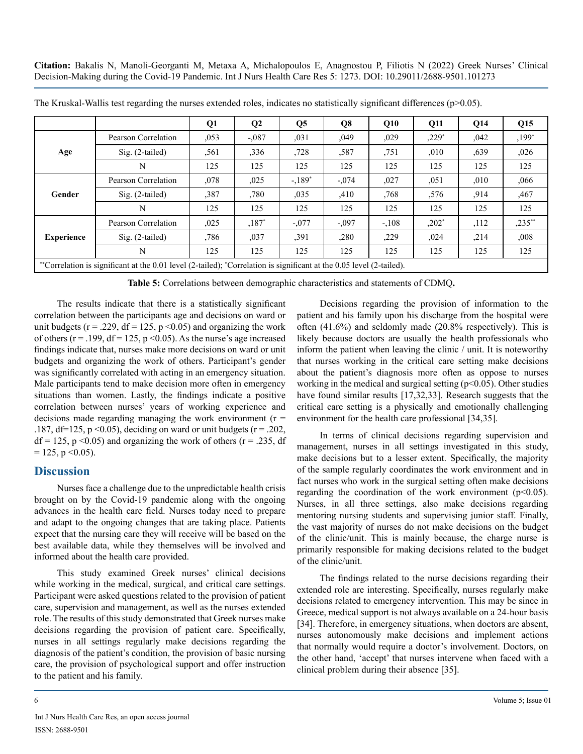|                                                                                                                     |                     | Q1    | $\mathbf{Q}$ | $\overline{O5}$ | Q8       | Q10     | Q11     | Q14  | Q15      |
|---------------------------------------------------------------------------------------------------------------------|---------------------|-------|--------------|-----------------|----------|---------|---------|------|----------|
| Age                                                                                                                 | Pearson Correlation | 0.053 | $-.087$      | ,031            | ,049     | ,029    | $,229*$ | .042 | $,199*$  |
|                                                                                                                     | $Sig. (2-tailed)$   | ,561  | ,336         | .728            | ,587     | ,751    | .010    | ,639 | ,026     |
|                                                                                                                     | N                   | 125   | 125          | 125             | 125      | 125     | 125     | 125  | 125      |
| Gender                                                                                                              | Pearson Correlation | .078  | ,025         | $-189*$         | $-0.074$ | ,027    | ,051    | ,010 | ,066     |
|                                                                                                                     | $Sig. (2-tailed)$   | ,387  | ,780         | ,035            | ,410     | ,768    | ,576    | ,914 | ,467     |
|                                                                                                                     | N                   | 125   | 125          | 125             | 125      | 125     | 125     | 125  | 125      |
| <b>Experience</b>                                                                                                   | Pearson Correlation | .025  | $,187*$      | $-.077$         | $-.097$  | $-.108$ | $,202*$ | ,112 | $,235**$ |
|                                                                                                                     | $Sig. (2-tailed)$   | .786  | ,037         | ,391            | .280     | ,229    | ,024    | ,214 | ,008     |
|                                                                                                                     | N                   | 125   | 125          | 125             | 125      | 125     | 125     | 125  | 125      |
| "Correlation is significant at the 0.01 level (2-tailed); "Correlation is significant at the 0.05 level (2-tailed). |                     |       |              |                 |          |         |         |      |          |

The Kruskal-Wallis test regarding the nurses extended roles, indicates no statistically significant differences (p>0.05).

**Table 5:** Correlations between demographic characteristics and statements of CDMQ**.**

The results indicate that there is a statistically significant correlation between the participants age and decisions on ward or unit budgets ( $r = .229$ ,  $df = 125$ ,  $p < 0.05$ ) and organizing the work of others ( $r = .199$ ,  $df = 125$ ,  $p \le 0.05$ ). As the nurse's age increased findings indicate that, nurses make more decisions on ward or unit budgets and organizing the work of others. Participant's gender was significantly correlated with acting in an emergency situation. Male participants tend to make decision more often in emergency situations than women. Lastly, the findings indicate a positive correlation between nurses' years of working experience and decisions made regarding managing the work environment  $(r =$ .187, df=125, p < 0.05), deciding on ward or unit budgets ( $r = .202$ ,  $df = 125$ , p < 0.05) and organizing the work of others (r = .235, df  $= 125$ , p  $\leq 0.05$ ).

#### **Discussion**

Nurses face a challenge due to the unpredictable health crisis brought on by the Covid-19 pandemic along with the ongoing advances in the health care field. Nurses today need to prepare and adapt to the ongoing changes that are taking place. Patients expect that the nursing care they will receive will be based on the best available data, while they themselves will be involved and informed about the health care provided.

This study examined Greek nurses' clinical decisions while working in the medical, surgical, and critical care settings. Participant were asked questions related to the provision of patient care, supervision and management, as well as the nurses extended role. The results of this study demonstrated that Greek nurses make decisions regarding the provision of patient care. Specifically, nurses in all settings regularly make decisions regarding the diagnosis of the patient's condition, the provision of basic nursing care, the provision of psychological support and offer instruction to the patient and his family.

Decisions regarding the provision of information to the patient and his family upon his discharge from the hospital were often (41.6%) and seldomly made (20.8% respectively). This is likely because doctors are usually the health professionals who inform the patient when leaving the clinic / unit. It is noteworthy that nurses working in the critical care setting make decisions about the patient's diagnosis more often as oppose to nurses working in the medical and surgical setting  $(p<0.05)$ . Other studies have found similar results [17,32,33]. Research suggests that the critical care setting is a physically and emotionally challenging environment for the health care professional [34,35].

In terms of clinical decisions regarding supervision and management, nurses in all settings investigated in this study, make decisions but to a lesser extent. Specifically, the majority of the sample regularly coordinates the work environment and in fact nurses who work in the surgical setting often make decisions regarding the coordination of the work environment  $(p<0.05)$ . Nurses, in all three settings, also make decisions regarding mentoring nursing students and supervising junior staff. Finally, the vast majority of nurses do not make decisions on the budget of the clinic/unit. This is mainly because, the charge nurse is primarily responsible for making decisions related to the budget of the clinic/unit.

The findings related to the nurse decisions regarding their extended role are interesting. Specifically, nurses regularly make decisions related to emergency intervention. This may be since in Greece, medical support is not always available on a 24-hour basis [34]. Therefore, in emergency situations, when doctors are absent, nurses autonomously make decisions and implement actions that normally would require a doctor's involvement. Doctors, on the other hand, 'accept' that nurses intervene when faced with a clinical problem during their absence [35].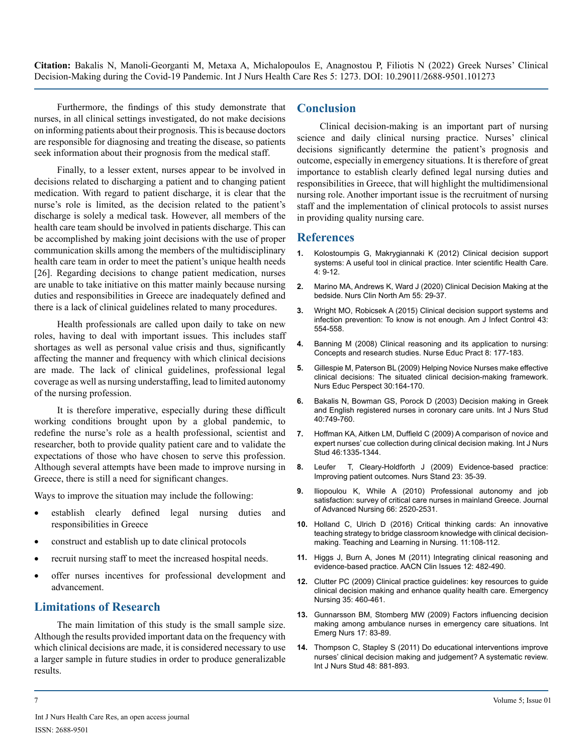Furthermore, the findings of this study demonstrate that nurses, in all clinical settings investigated, do not make decisions on informing patients about their prognosis. This is because doctors are responsible for diagnosing and treating the disease, so patients seek information about their prognosis from the medical staff.

Finally, to a lesser extent, nurses appear to be involved in decisions related to discharging a patient and to changing patient medication. With regard to patient discharge, it is clear that the nurse's role is limited, as the decision related to the patient's discharge is solely a medical task. However, all members of the health care team should be involved in patients discharge. This can be accomplished by making joint decisions with the use of proper communication skills among the members of the multidisciplinary health care team in order to meet the patient's unique health needs [26]. Regarding decisions to change patient medication, nurses are unable to take initiative on this matter mainly because nursing duties and responsibilities in Greece are inadequately defined and there is a lack of clinical guidelines related to many procedures.

Health professionals are called upon daily to take on new roles, having to deal with important issues. This includes staff shortages as well as personal value crisis and thus, significantly affecting the manner and frequency with which clinical decisions are made. The lack of clinical guidelines, professional legal coverage as well as nursing understaffing, lead to limited autonomy of the nursing profession.

It is therefore imperative, especially during these difficult working conditions brought upon by a global pandemic, to redefine the nurse's role as a health professional, scientist and researcher, both to provide quality patient care and to validate the expectations of those who have chosen to serve this profession. Although several attempts have been made to improve nursing in Greece, there is still a need for significant changes.

Ways to improve the situation may include the following:

- establish clearly defined legal nursing duties and responsibilities in Greece
- construct and establish up to date clinical protocols
- recruit nursing staff to meet the increased hospital needs.
- offer nurses incentives for professional development and advancement.

## **Limitations of Research**

The main limitation of this study is the small sample size. Although the results provided important data on the frequency with which clinical decisions are made, it is considered necessary to use a larger sample in future studies in order to produce generalizable results.

#### **Conclusion**

Clinical decision-making is an important part of nursing science and daily clinical nursing practice. Nurses' clinical decisions significantly determine the patient's prognosis and outcome, especially in emergency situations. It is therefore of great importance to establish clearly defined legal nursing duties and responsibilities in Greece, that will highlight the multidimensional nursing role. Another important issue is the recruitment of nursing staff and the implementation of clinical protocols to assist nurses in providing quality nursing care.

#### **References**

- **1.** [Kolostoumpis G, Makrygiannaki K \(2012\) Clinical decision support](https://scholar.google.de/citations?view_op=view_citation&hl=en&user=oUv6un0AAAAJ&citation_for_view=oUv6un0AAAAJ:u5HHmVD_uO8C)  [systems: A useful tool in clinical practice. Inter scientific Health Care.](https://scholar.google.de/citations?view_op=view_citation&hl=en&user=oUv6un0AAAAJ&citation_for_view=oUv6un0AAAAJ:u5HHmVD_uO8C)  [4: 9-12.](https://scholar.google.de/citations?view_op=view_citation&hl=en&user=oUv6un0AAAAJ&citation_for_view=oUv6un0AAAAJ:u5HHmVD_uO8C)
- **2.** [Marino MA, Andrews K, Ward J \(2020\) Clinical Decision Making at the](https://pubmed.ncbi.nlm.nih.gov/32005363/)  [bedside. Nurs Clin North Am 55: 29-37.](https://pubmed.ncbi.nlm.nih.gov/32005363/)
- **3.** [Wright ΜΟ, Robicsek Α \(2015\) Clinical decision support systems and](https://pubmed.ncbi.nlm.nih.gov/25798779/)  [infection prevention: To know is not enough. Am J Infect Control 43:](https://pubmed.ncbi.nlm.nih.gov/25798779/)  [554-558.](https://pubmed.ncbi.nlm.nih.gov/25798779/)
- **4.** [Banning M \(2008\) Clinical reasoning and its application to nursing:](https://pubmed.ncbi.nlm.nih.gov/17869587/)  [Concepts and research studies. Nurse Educ Pract 8: 177-183.](https://pubmed.ncbi.nlm.nih.gov/17869587/)
- **5.** [Gillespie M, Paterson BL \(2009\) Helping Novice Nurses make effective](https://pubmed.ncbi.nlm.nih.gov/19606659/)  [clinical decisions: The situated clinical decision-making framework.](https://pubmed.ncbi.nlm.nih.gov/19606659/)  [Nurs Educ Perspect 30:164-170.](https://pubmed.ncbi.nlm.nih.gov/19606659/)
- **6.** [Bakalis N, Bowman GS, Porock D \(2003\) Decision making in Greek](https://pubmed.ncbi.nlm.nih.gov/12965166/#:~:text=The results showed that nurses,best%2Dpredicted decision%2Dmaking.&text=Nurses perceived clinical experience as the strongest factor influencing decision%2Dmaking.)  [and English registered nurses in coronary care units. Int J Nurs Stud](https://pubmed.ncbi.nlm.nih.gov/12965166/#:~:text=The results showed that nurses,best%2Dpredicted decision%2Dmaking.&text=Nurses perceived clinical experience as the strongest factor influencing decision%2Dmaking.)  [40:749-760.](https://pubmed.ncbi.nlm.nih.gov/12965166/#:~:text=The results showed that nurses,best%2Dpredicted decision%2Dmaking.&text=Nurses perceived clinical experience as the strongest factor influencing decision%2Dmaking.)
- **7.** [Hoffman KA, Aitken LM, Duffield C \(2009\) A comparison of novice and](https://pubmed.ncbi.nlm.nih.gov/19555954/)  [expert nurses' cue collection during clinical decision making. Int J Nurs](https://pubmed.ncbi.nlm.nih.gov/19555954/)  [Stud 46:1335-1344.](https://pubmed.ncbi.nlm.nih.gov/19555954/)
- **8.** [Leufer T, Cleary-Holdforth J \(2009\) Evidence-based practice:](https://pubmed.ncbi.nlm.nih.gov/19441625/)  [Improving patient outcomes. Nurs Stand 23: 35-39.](https://pubmed.ncbi.nlm.nih.gov/19441625/)
- **9.** Iliopoulou K, While A (2010) Professional autonomy and job satisfaction: survey of critical care nurses in mainland Greece. Journal of Advanced Nursing 66: 2520-2531.
- **10.** [Holland C, Ulrich D \(2016\) Critical thinking cards: An innovative](https://www.sciencedirect.com/science/article/abs/pii/S1557308716000093#:~:text=The cards%2C which include questions,and the think%2Daloud method.)  [teaching strategy to bridge classroom knowledge with clinical decision](https://www.sciencedirect.com/science/article/abs/pii/S1557308716000093#:~:text=The cards%2C which include questions,and the think%2Daloud method.)[making. Teaching and Learning in Nursing. 11:108-112.](https://www.sciencedirect.com/science/article/abs/pii/S1557308716000093#:~:text=The cards%2C which include questions,and the think%2Daloud method.)
- **11.** [Higgs J, Burn A, Jones M \(2011\) Integrating clinical reasoning and](https://pubmed.ncbi.nlm.nih.gov/11759421/)  [evidence-based practice. AACN Clin Issues 12: 482-490.](https://pubmed.ncbi.nlm.nih.gov/11759421/)
- **12.** [Clutter PC \(2009\) Clinical practice guidelines: key resources to guide](https://www.jenonline.org/article/S0099-1767(09)00251-7/fulltext)  [clinical decision making and enhance quality health care. Emergency](https://www.jenonline.org/article/S0099-1767(09)00251-7/fulltext)  [Nursing 35: 460-461.](https://www.jenonline.org/article/S0099-1767(09)00251-7/fulltext)
- **13.** [Gunnarsson BM, Stomberg MW \(2009\) Factors influencing decision](https://pubmed.ncbi.nlm.nih.gov/19341993/)  [making among ambulance nurses in emergency care situations. Int](https://pubmed.ncbi.nlm.nih.gov/19341993/) [Emerg Nurs 17: 83-89.](https://pubmed.ncbi.nlm.nih.gov/19341993/)
- **14.** [Thompson C, Stapley S \(2011\) Do educational interventions improve](https://pubmed.ncbi.nlm.nih.gov/21241984/)  [nurses' clinical decision making and judgement? A systematic review.](https://pubmed.ncbi.nlm.nih.gov/21241984/) [Int J Nurs Stud 48: 881-893.](https://pubmed.ncbi.nlm.nih.gov/21241984/)